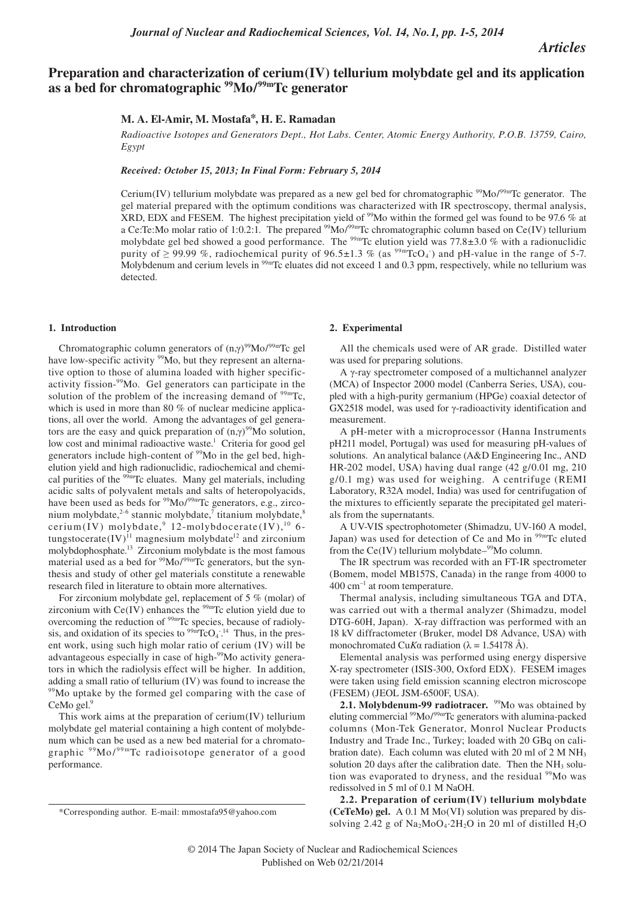## *Articles*

# **Preparation and characterization of cerium(IV) tellurium molybdate gel and its application as a bed for chromatographic 99Mo/99mTc generator**

## **M. A. El-Amir, M. Mostafa\*, H. E. Ramadan**

*Radioactive Isotopes and Generators Dept., Hot Labs. Center, Atomic Energy Authority, P.O.B. 13759, Cairo, Egypt*

*Received: October 15, 2013; In Final Form: February 5, 2014*

Cerium(IV) tellurium molybdate was prepared as a new gel bed for chromatographic  $\frac{99}{10}$ Mo/ $\frac{99}{10}$ Tc generator. The gel material prepared with the optimum conditions was characterized with IR spectroscopy, thermal analysis, XRD, EDX and FESEM. The highest precipitation yield of  $\frac{99}{10}$  within the formed gel was found to be 97.6 % at a Ce:Te:Mo molar ratio of 1:0.2:1. The prepared  $\frac{99 \text{Mo}}{99 \text{m}}$ Tc chromatographic column based on Ce(IV) tellurium molybdate gel bed showed a good performance. The <sup>99m</sup>Tc elution yield was 77.8 $\pm$ 3.0 % with a radionuclidic purity of  $\geq$  99.99 %, radiochemical purity of 96.5±1.3 % (as <sup>99m</sup>TcO<sub>4</sub>) and pH-value in the range of 5-7.<br>Molybdenum and cerium levels in <sup>99m</sup>Tc eluates did not exceed 1 and 0.3 npm, respectively, while no tellurium Molybdenum and cerium levels in  $^{99m}$ Tc eluates did not exceed 1 and 0.3 ppm, respectively, while no tellurium was detected.

#### **1. Introduction**

Chromatographic column generators of  $(n,\gamma)^{99}$ Mo<sup> $/99m$ </sup>Tc gel<br>we low-specific activity <sup>99</sup>Mo, but they represent an alternahave low-specific activity <sup>99</sup>Mo, but they represent an alternative option to those of alumina loaded with higher specificactivity fission-99Mo. Gel generators can participate in the solution of the problem of the increasing demand of  $99m$ Tc, which is used in more than 80 % of nuclear medicine applications, all over the world. Among the advantages of gel generators are the easy and quick preparation of  $(n,\gamma)^{99}$ Mo solution,<br>low cost and minimal radioactive waste<sup>1</sup>. Criteria for good gel low cost and minimal radioactive waste.<sup>1</sup> Criteria for good gel generators include high-content of <sup>99</sup>Mo in the gel bed, highelution yield and high radionuclidic, radiochemical and chemical purities of the <sup>99m</sup>Tc eluates. Many gel materials, including acidic salts of polyvalent metals and salts of heteropolyacids, have been used as beds for <sup>99</sup>Mo/<sup>99m</sup>Tc generators, e.g., zirconium molybdate,<sup>2-6</sup> stannic molybdate,<sup>7</sup> titanium molybdate,<sup>8</sup> cerium(IV) molybdate,  $9\,12$ -molybdocerate(IV),  $^{10}\,6$ tungstocerate $(IV)^{11}$  magnesium molybdate<sup>12</sup> and zirconium molybdophosphate.13 Zirconium molybdate is the most famous material used as a bed for <sup>99</sup>Mo/<sup>99mT</sup>c generators, but the synthesis and study of other gel materials constitute a renewable research filed in literature to obtain more alternatives.

For zirconium molybdate gel, replacement of 5 % (molar) of zirconium with  $Ce(IV)$  enhances the  $99m$ Tc elution yield due to overcoming the reduction of 99mTc species, because of radiolysis, and oxidation of its species to  $\frac{99 \text{m}}{\text{C}}\text{O}_4$ .<sup>14</sup> Thus, in the present work, using such high molar ratio of cerium (IV) will be advantageous especially in case of high-<sup>99</sup>Mo activity generators in which the radiolysis effect will be higher. In addition, adding a small ratio of tellurium (IV) was found to increase the <sup>99</sup>Mo uptake by the formed gel comparing with the case of CeMo gel.<sup>9</sup>

This work aims at the preparation of cerium(IV) tellurium molybdate gel material containing a high content of molybdenum which can be used as a new bed material for a chromatographic <sup>99</sup>Mo/<sup>99m</sup>Tc radioisotope generator of a good performance.

#### **2. Experimental**

All the chemicals used were of AR grade. Distilled water was used for preparing solutions.

<sup>A</sup>γ-ray spectrometer composed of a multichannel analyzer (MCA) of Inspector 2000 model (Canberra Series, USA), coupled with a high-purity germanium (HPGe) coaxial detector of GX2518 model, was used for γ-radioactivity identification and measurement.

A pH-meter with a microprocessor (Hanna Instruments pH211 model, Portugal) was used for measuring pH-values of solutions. An analytical balance (A&D Engineering Inc., AND HR-202 model, USA) having dual range (42 g/0.01 mg, 210 g/0.1 mg) was used for weighing. A centrifuge (REMI Laboratory, R32A model, India) was used for centrifugation of the mixtures to efficiently separate the precipitated gel materials from the supernatants.

A UV-VIS spectrophotometer (Shimadzu, UV-160 A model, Japan) was used for detection of Ce and Mo in  $99<sup>99m</sup>$ Tc eluted from the  $Ce(IV)$  tellurium molybdate– $99$ Mo column.

The IR spectrum was recorded with an FT-IR spectrometer (Bomem, model MB157S, Canada) in the range from 4000 to  $400 \text{ cm}^{-1}$  at room temperature.

Thermal analysis, including simultaneous TGA and DTA, was carried out with a thermal analyzer (Shimadzu, model DTG-60H, Japan). X-ray diffraction was performed with an 18 kV diffractometer (Bruker, model D8 Advance, USA) with monochromated Cu*Kα* radiation ( $λ = 1.54178$  Å).

Elemental analysis was performed using energy dispersive X-ray spectrometer (ISIS-300, Oxford EDX). FESEM images were taken using field emission scanning electron microscope (FESEM) (JEOL JSM-6500F, USA).

2.1. Molybdenum-99 radiotracer. <sup>99</sup>Mo was obtained by eluting commercial <sup>99</sup>Mo/<sup>99m</sup>Tc generators with alumina-packed columns (Mon-Tek Generator, Monrol Nuclear Products Industry and Trade Inc., Turkey; loaded with 20 GBq on calibration date). Each column was eluted with 20 ml of  $2 M NH<sub>3</sub>$ solution 20 days after the calibration date. Then the  $NH<sub>3</sub>$  solution was evaporated to dryness, and the residual <sup>99</sup>Mo was redissolved in 5 ml of 0.1 M NaOH.

**2.2. Preparation of cerium(IV) tellurium molybdate (CeTeMo) gel.** A 0.1 M Mo(VI) solution was prepared by dissolving 2.42 g of  $Na<sub>2</sub>MoO<sub>4</sub>·2H<sub>2</sub>O$  in 20 ml of distilled  $H<sub>2</sub>O$ 

<sup>\*</sup>Corresponding author. E-mail: mmostafa95@yahoo.com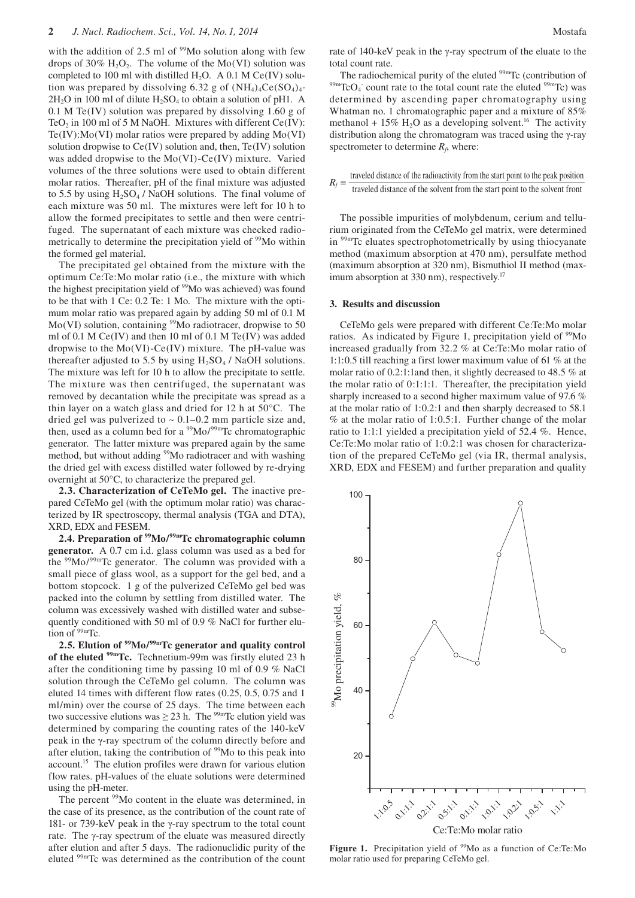with the addition of 2.5 ml of  $99M$ o solution along with few drops of 30%  $H_2O_2$ . The volume of the Mo(VI) solution was completed to 100 ml with distilled H<sub>2</sub>O. A 0.1 M Ce(IV) solution was prepared by dissolving 6.32 g of  $(NH<sub>4</sub>)<sub>4</sub>Ce(SO<sub>4</sub>)<sub>4</sub>$ .  $2H_2O$  in 100 ml of dilute  $H_2SO_4$  to obtain a solution of pH1. A 0.1 M Te(IV) solution was prepared by dissolving 1.60 g of TeO<sub>2</sub> in 100 ml of 5 M NaOH. Mixtures with different Ce(IV): Te(IV):Mo(VI) molar ratios were prepared by adding Mo(VI) solution dropwise to Ce(IV) solution and, then, Te(IV) solution was added dropwise to the Mo(VI)-Ce(IV) mixture. Varied volumes of the three solutions were used to obtain different molar ratios. Thereafter, pH of the final mixture was adjusted to 5.5 by using  $H_2SO_4$  / NaOH solutions. The final volume of each mixture was 50 ml. The mixtures were left for 10 h to allow the formed precipitates to settle and then were centrifuged. The supernatant of each mixture was checked radiometrically to determine the precipitation yield of <sup>99</sup>Mo within the formed gel material.

The precipitated gel obtained from the mixture with the optimum Ce:Te:Mo molar ratio (i.e., the mixture with which the highest precipitation yield of <sup>99</sup>Mo was achieved) was found to be that with 1 Ce: 0.2 Te: 1 Mo. The mixture with the optimum molar ratio was prepared again by adding 50 ml of 0.1 M  $Mo(VI)$  solution, containing <sup>99</sup>Mo radiotracer, dropwise to 50 ml of 0.1 M Ce(IV) and then 10 ml of 0.1 M Te(IV) was added dropwise to the  $Mo(VI)$ -Ce $(IV)$  mixture. The pH-value was thereafter adjusted to 5.5 by using  $H_2SO_4$  / NaOH solutions. The mixture was left for 10 h to allow the precipitate to settle. The mixture was then centrifuged, the supernatant was removed by decantation while the precipitate was spread as a thin layer on a watch glass and dried for 12 h at 50°C. The dried gel was pulverized to  $\sim 0.1 - 0.2$  mm particle size and, then, used as a column bed for a <sup>99</sup>Mo/<sup>99m</sup>Tc chromatographic generator. The latter mixture was prepared again by the same method, but without adding <sup>99</sup>Mo radiotracer and with washing the dried gel with excess distilled water followed by re-drying overnight at 50°C, to characterize the prepared gel.

**2.3. Characterization of CeTeMo gel.** The inactive prepared CeTeMo gel (with the optimum molar ratio) was characterized by IR spectroscopy, thermal analysis (TGA and DTA), XRD, EDX and FESEM.

**2.4. Preparation of 99Mo/99mTc chromatographic column generator.** A 0.7 cm i.d. glass column was used as a bed for the  $99\text{Mo}/99\text{mTc}$  generator. The column was provided with a small piece of glass wool, as a support for the gel bed, and a bottom stopcock. 1 g of the pulverized CeTeMo gel bed was packed into the column by settling from distilled water. The column was excessively washed with distilled water and subsequently conditioned with 50 ml of 0.9 % NaCl for further elution of  $99m$ Tc.

**2.5. Elution of 99Mo/99mTc generator and quality control of the eluted 99mTc.** Technetium-99m was firstly eluted 23 h after the conditioning time by passing 10 ml of 0.9 % NaCl solution through the CeTeMo gel column. The column was eluted 14 times with different flow rates (0.25, 0.5, 0.75 and 1 ml/min) over the course of 25 days. The time between each two successive elutions was  $\geq$  23 h. The <sup>99m</sup>Tc elution yield was determined by comparing the counting rates of the 140-keV peak in the γ-ray spectrum of the column directly before and after elution, taking the contribution of  $99M$ o to this peak into account.<sup>15</sup> The elution profiles were drawn for various elution flow rates. pH-values of the eluate solutions were determined using the pH-meter.

The percent <sup>99</sup>Mo content in the eluate was determined, in the case of its presence, as the contribution of the count rate of 181- or 739-keV peak in the γ-ray spectrum to the total count rate. The γ-ray spectrum of the eluate was measured directly after elution and after 5 days. The radionuclidic purity of the eluted 99mTc was determined as the contribution of the count rate of 140-keV peak in the γ-ray spectrum of the eluate to the total count rate.<br>The radiochemical purity of the eluted <sup>99m</sup>Tc (contribution of

The radiochemical purity of the eluted  $^{99m}$ Tc (contribution of  $^{99m}$ TcO<sub>4</sub> count rate to the total count rate the eluted  $^{99m}$ Tc) was determined by ascending paper chromatography using Whatman no. 1 chromatographic paper and a mixture of 85% methanol + 15%  $H_2O$  as a developing solvent.<sup>16</sup> The activity distribution along the chromatogram was traced using the γ-ray spectrometer to determine  $R_f$ , where:

$$
R_f = \frac{\text{traveled distance of the radioactivity from the start point to the peak position}}{\text{traveled distance of the solvent from the start point to the solvent front}}
$$

The possible impurities of molybdenum, cerium and tellurium originated from the CeTeMo gel matrix, were determined in 99mTc eluates spectrophotometrically by using thiocyanate method (maximum absorption at 470 nm), persulfate method (maximum absorption at 320 nm), Bismuthiol II method (maximum absorption at 330 nm), respectively.<sup>17</sup>

#### **3. Results and discussion**

CeTeMo gels were prepared with different Ce:Te:Mo molar ratios. As indicated by Figure 1, precipitation yield of <sup>99</sup>Mo increased gradually from 32.2 % at Ce:Te:Mo molar ratio of 1:1:0.5 till reaching a first lower maximum value of 61 % at the molar ratio of 0.2:1:1and then, it slightly decreased to 48.5 % at the molar ratio of 0:1:1:1. Thereafter, the precipitation yield sharply increased to a second higher maximum value of 97.6 % at the molar ratio of 1:0.2:1 and then sharply decreased to 58.1 % at the molar ratio of 1:0.5:1. Further change of the molar ratio to 1:1:1 yielded a precipitation yield of 52.4 %. Hence, Ce:Te:Mo molar ratio of 1:0.2:1 was chosen for characterization of the prepared CeTeMo gel (via IR, thermal analysis, XRD, EDX and FESEM) and further preparation and quality



Figure 1. Precipitation yield of <sup>99</sup>Mo as a function of Ce:Te:Mo molar ratio used for preparing CeTeMo gel.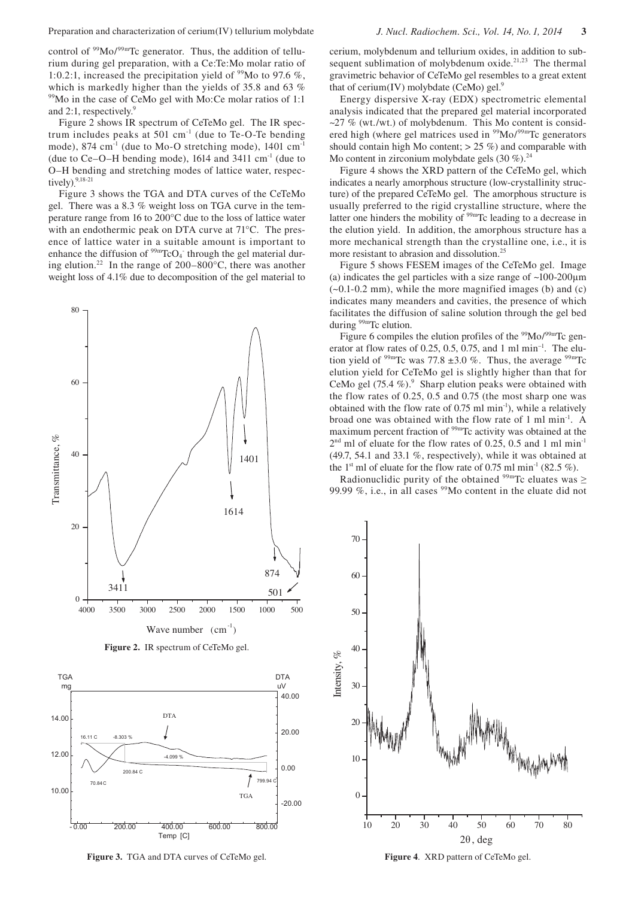control of <sup>99</sup>Mo/<sup>99m</sup>Tc generator. Thus, the addition of tellurium during gel preparation, with a Ce:Te:Mo molar ratio of 1:0.2:1, increased the precipitation yield of  $\frac{99}{100}$  to 97.6 %. which is markedly higher than the yields of 35.8 and 63 % <sup>99</sup>Mo in the case of CeMo gel with Mo:Ce molar ratios of 1:1 and 2:1, respectively.<sup>9</sup>

Figure 2 shows IR spectrum of CeTeMo gel. The IR spectrum includes peaks at 501 cm $^{-1}$  (due to Te-O-Te bending mode), 874 cm<sup>-1</sup> (due to Mo-O stretching mode),  $1401 \text{ cm}^{-1}$ (due to  $Ce-O-H$  bending mode), 1614 and 3411 cm<sup>-1</sup> (due to O–H bending and stretching modes of lattice water, respectively)**.** 9,18-21

Figure 3 shows the TGA and DTA curves of the CeTeMo gel. There was a 8.3 % weight loss on TGA curve in the temperature range from 16 to 200°C due to the loss of lattice water with an endothermic peak on DTA curve at 71°C. The presence of lattice water in a suitable amount is important to enhance the diffusion of  $\frac{99 \text{m}}{\text{TCO}_4}$  through the gel material during elution.<sup>22</sup> In the range of  $200-800^{\circ}$ C, there was another weight loss of 4.1% due to decomposition of the gel material to







cerium, molybdenum and tellurium oxides, in addition to subsequent sublimation of molybdenum oxide. $21,23$  The thermal gravimetric behavior of CeTeMo gel resembles to a great extent that of cerium(IV) molybdate (CeMo) gel. $9$ 

Energy dispersive X-ray (EDX) spectrometric elemental analysis indicated that the prepared gel material incorporated  $\sim$ 27 % (wt./wt.) of molybdenum. This Mo content is considered high (where gel matrices used in  $\frac{99}{9}$ Mo/ $\frac{99}{9}$ Tc generators should contain high Mo content;  $> 25\%$ ) and comparable with Mo content in zirconium molybdate gels  $(30\%)$ <sup>24</sup>

Figure 4 shows the XRD pattern of the CeTeMo gel, which indicates a nearly amorphous structure (low-crystallinity structure) of the prepared CeTeMo gel. The amorphous structure is usually preferred to the rigid crystalline structure, where the latter one hinders the mobility of <sup>99m</sup>Tc leading to a decrease in the elution yield. In addition, the amorphous structure has a more mechanical strength than the crystalline one, i.e., it is more resistant to abrasion and dissolution.<sup>25</sup>

Figure 5 shows FESEM images of the CeTeMo gel. Image (a) indicates the gel particles with a size range of  $\sim$ 100-200 $\mu$ m  $(-0.1-0.2 \text{ mm})$ , while the more magnified images (b) and (c) indicates many meanders and cavities, the presence of which facilitates the diffusion of saline solution through the gel bed during <sup>99m</sup>Tc elution.

Figure 6 compiles the elution profiles of the  $99$ Mo/ $99$ mTc generator at flow rates of 0.25, 0.5, 0.75, and 1 ml min<sup>-1</sup>. The elution yield of  $99m$ Tc was 77.8  $\pm 3.0$  %. Thus, the average  $99m$ Tc elution yield for CeTeMo gel is slightly higher than that for CeMo gel  $(75.4\%)$ . Sharp elution peaks were obtained with the flow rates of 0.25, 0.5 and 0.75 (the most sharp one was obtained with the flow rate of  $0.75$  ml min<sup>-1</sup>), while a relatively broad one was obtained with the flow rate of 1 ml min-1. A maximum percent fraction of 99mTc activity was obtained at the  $2<sup>nd</sup>$  ml of eluate for the flow rates of 0.25, 0.5 and 1 ml min<sup>-1</sup> (49.7, 54.1 and 33.1 %, respectively), while it was obtained at the 1<sup>st</sup> ml of eluate for the flow rate of 0.75 ml min<sup>-1</sup> (82.5 %).

Radionuclidic purity of the obtained  $99m$ Tc eluates was  $\geq$ 99.99 %, i.e., in all cases  $99Mo$  content in the eluate did not

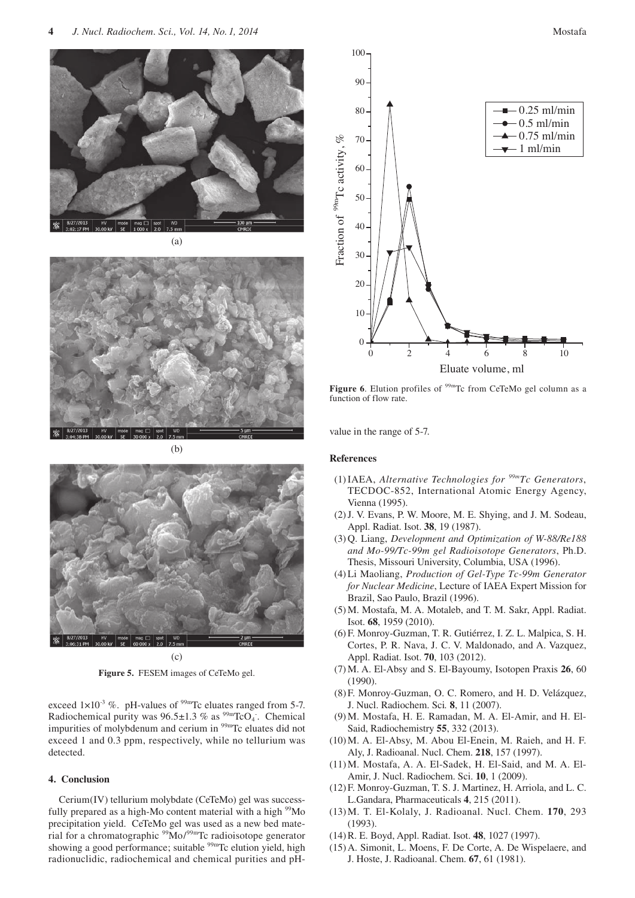



(b)



(c)

**Figure 5.** FESEM images of CeTeMo gel.

exceed  $1 \times 10^{-3}$  %. pH-values of <sup>99m</sup>Tc eluates ranged from 5-7. Radiochemical purity was  $96.5 \pm 1.3$  % as  $^{99m}$ TcO<sub>4</sub>. Chemical impurities of molybdenum and cerium in <sup>99m</sup>Tc eluates did not exceed 1 and 0.3 ppm, respectively, while no tellurium was detected.

## **4. Conclusion**

Cerium(IV) tellurium molybdate (CeTeMo) gel was successfully prepared as a high-Mo content material with a high <sup>99</sup>Mo precipitation yield. CeTeMo gel was used as a new bed material for a chromatographic  $99M_0/99m$ Tc radioisotope generator showing a good performance; suitable  $99m$ Tc elution yield, high radionuclidic, radiochemical and chemical purities and pH-



Figure 6. Elution profiles of <sup>99m</sup>Tc from CeTeMo gel column as a function of flow rate.

value in the range of 5-7.

### **References**

- (1) IAEA, *Alternative Technologies for 99mTc Generators*, TECDOC-852, International Atomic Energy Agency, Vienna (1995).
- (2) J. V. Evans, P. W. Moore, M. E. Shying, and J. M. Sodeau, Appl. Radiat. Isot. **38**, 19 (1987).
- (3) Q. Liang, *Development and Optimization of W-88/Re188 and Mo-99/Tc-99m gel Radioisotope Generators*, Ph.D. Thesis, Missouri University, Columbia, USA (1996).
- (4) Li Maoliang, *Production of Gel-Type Tc-99m Generator for Nuclear Medicine*, Lecture of IAEA Expert Mission for Brazil, Sao Paulo, Brazil (1996).
- (5) M. Mostafa, M. A. Motaleb, and T. M. Sakr, Appl. Radiat. Isot. **68**, 1959 (2010).
- (6) F. Monroy-Guzman, T. R. Gutiérrez, I. Z. L. Malpica, S. H. Cortes, P. R. Nava, J. C. V. Maldonado, and A. Vazquez, Appl. Radiat. Isot. **70**, 103 (2012).
- (7) M. A. El-Absy and S. El-Bayoumy, Isotopen Praxis **26**, 60 (1990).
- (8) F. Monroy-Guzman, O. C. Romero, and H. D. Velázquez, J. Nucl. Radiochem. Sci*.* **8**, 11 (2007).
- (9) M. Mostafa, H. E. Ramadan, M. A. El-Amir, and H. El-Said, Radiochemistry **55**, 332 (2013).
- (10) M. A. El-Absy, M. Abou El-Enein, M. Raieh, and H. F. Aly, J. Radioanal. Nucl. Chem. **218**, 157 (1997).
- (11)M. Mostafa, A. A. El-Sadek, H. El-Said, and M. A. El-Amir, J. Nucl. Radiochem. Sci. **10**, 1 (2009).
- (12) F. Monroy-Guzman, T. S. J. Martinez, H. Arriola, and L. C. L.Gandara, Pharmaceuticals **4**, 215 (2011).
- (13) M. T. El-Kolaly, J. Radioanal. Nucl. Chem. **170**, 293 (1993).
- (14) R. E. Boyd, Appl. Radiat. Isot. **48**, 1027 (1997).
- (15) A. Simonit, L. Moens, F. De Corte, A. De Wispelaere, and J. Hoste, J. Radioanal. Chem. **67**, 61 (1981).